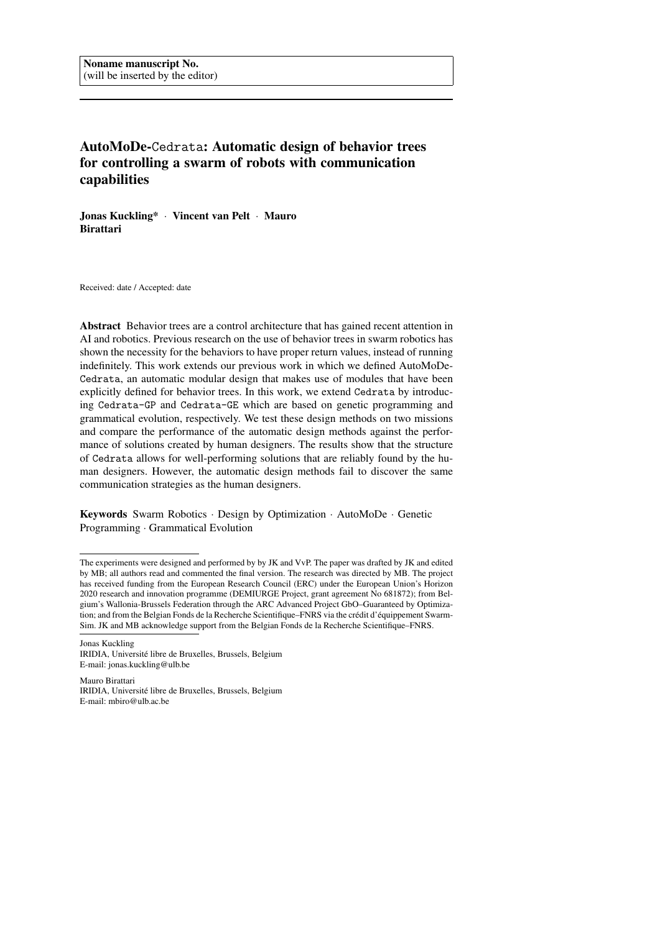# AutoMoDe-Cedrata: Automatic design of behavior trees for controlling a swarm of robots with communication capabilities

Jonas Kuckling\* · Vincent van Pelt · Mauro Birattari

Received: date / Accepted: date

Abstract Behavior trees are a control architecture that has gained recent attention in AI and robotics. Previous research on the use of behavior trees in swarm robotics has shown the necessity for the behaviors to have proper return values, instead of running indefinitely. This work extends our previous work in which we defined AutoMoDe-Cedrata, an automatic modular design that makes use of modules that have been explicitly defined for behavior trees. In this work, we extend Cedrata by introducing Cedrata-GP and Cedrata-GE which are based on genetic programming and grammatical evolution, respectively. We test these design methods on two missions and compare the performance of the automatic design methods against the performance of solutions created by human designers. The results show that the structure of Cedrata allows for well-performing solutions that are reliably found by the human designers. However, the automatic design methods fail to discover the same communication strategies as the human designers.

Keywords Swarm Robotics · Design by Optimization · AutoMoDe · Genetic Programming · Grammatical Evolution

Jonas Kuckling IRIDIA, Universite libre de Bruxelles, Brussels, Belgium ´ E-mail: jonas.kuckling@ulb.be

Mauro Birattari IRIDIA, Universite libre de Bruxelles, Brussels, Belgium ´ E-mail: mbiro@ulb.ac.be

The experiments were designed and performed by by JK and VvP. The paper was drafted by JK and edited by MB; all authors read and commented the final version. The research was directed by MB. The project has received funding from the European Research Council (ERC) under the European Union's Horizon 2020 research and innovation programme (DEMIURGE Project, grant agreement No 681872); from Belgium's Wallonia-Brussels Federation through the ARC Advanced Project GbO–Guaranteed by Optimization; and from the Belgian Fonds de la Recherche Scientifique–FNRS via the crédit d'équippement Swarm-Sim. JK and MB acknowledge support from the Belgian Fonds de la Recherche Scientifique–FNRS.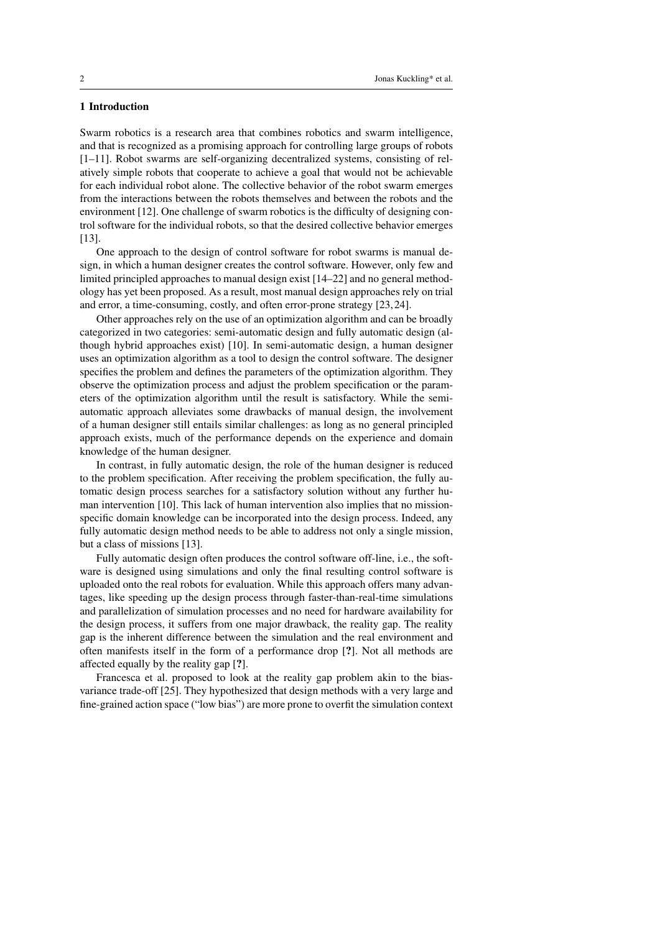# 1 Introduction

Swarm robotics is a research area that combines robotics and swarm intelligence, and that is recognized as a promising approach for controlling large groups of robots [1–11]. Robot swarms are self-organizing decentralized systems, consisting of relatively simple robots that cooperate to achieve a goal that would not be achievable for each individual robot alone. The collective behavior of the robot swarm emerges from the interactions between the robots themselves and between the robots and the environment [12]. One challenge of swarm robotics is the difficulty of designing control software for the individual robots, so that the desired collective behavior emerges [13].

One approach to the design of control software for robot swarms is manual design, in which a human designer creates the control software. However, only few and limited principled approaches to manual design exist [14–22] and no general methodology has yet been proposed. As a result, most manual design approaches rely on trial and error, a time-consuming, costly, and often error-prone strategy [23, 24].

Other approaches rely on the use of an optimization algorithm and can be broadly categorized in two categories: semi-automatic design and fully automatic design (although hybrid approaches exist) [10]. In semi-automatic design, a human designer uses an optimization algorithm as a tool to design the control software. The designer specifies the problem and defines the parameters of the optimization algorithm. They observe the optimization process and adjust the problem specification or the parameters of the optimization algorithm until the result is satisfactory. While the semiautomatic approach alleviates some drawbacks of manual design, the involvement of a human designer still entails similar challenges: as long as no general principled approach exists, much of the performance depends on the experience and domain knowledge of the human designer.

In contrast, in fully automatic design, the role of the human designer is reduced to the problem specification. After receiving the problem specification, the fully automatic design process searches for a satisfactory solution without any further human intervention [10]. This lack of human intervention also implies that no missionspecific domain knowledge can be incorporated into the design process. Indeed, any fully automatic design method needs to be able to address not only a single mission, but a class of missions [13].

Fully automatic design often produces the control software off-line, i.e., the software is designed using simulations and only the final resulting control software is uploaded onto the real robots for evaluation. While this approach offers many advantages, like speeding up the design process through faster-than-real-time simulations and parallelization of simulation processes and no need for hardware availability for the design process, it suffers from one major drawback, the reality gap. The reality gap is the inherent difference between the simulation and the real environment and often manifests itself in the form of a performance drop [?]. Not all methods are affected equally by the reality gap [?].

Francesca et al. proposed to look at the reality gap problem akin to the biasvariance trade-off [25]. They hypothesized that design methods with a very large and fine-grained action space ("low bias") are more prone to overfit the simulation context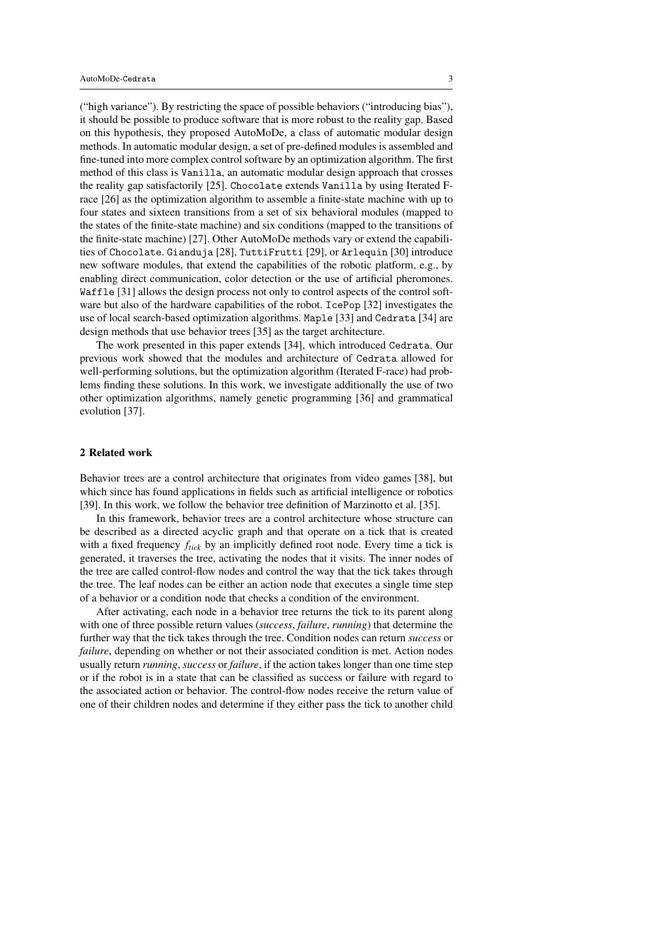("high variance"). By restricting the space of possible behaviors ("introducing bias"), it should be possible to produce software that is more robust to the reality gap. Based on this hypothesis, they proposed AutoMoDe, a class of automatic modular design methods. In automatic modular design, a set of pre-defined modules is assembled and fine-tuned into more complex control software by an optimization algorithm. The first method of this class is Vanilla, an automatic modular design approach that crosses the reality gap satisfactorily [25]. Chocolate extends Vanilla by using Iterated Frace [26] as the optimization algorithm to assemble a finite-state machine with up to four states and sixteen transitions from a set of six behavioral modules (mapped to the states of the finite-state machine) and six conditions (mapped to the transitions of the finite-state machine) [27]. Other AutoMoDe methods vary or extend the capabilities of Chocolate. Gianduja [28], TuttiFrutti [29], or Arlequin [30] introduce new software modules, that extend the capabilities of the robotic platform, e.g., by enabling direct communication, color detection or the use of artificial pheromones. Waffle [31] allows the design process not only to control aspects of the control software but also of the hardware capabilities of the robot. IcePop [32] investigates the use of local search-based optimization algorithms. Maple [33] and Cedrata [34] are design methods that use behavior trees [35] as the target architecture.

The work presented in this paper extends [34], which introduced Cedrata. Our previous work showed that the modules and architecture of Cedrata allowed for well-performing solutions, but the optimization algorithm (Iterated F-race) had problems finding these solutions. In this work, we investigate additionally the use of two other optimization algorithms, namely genetic programming [36] and grammatical evolution [37].

#### 2 Related work

Behavior trees are a control architecture that originates from video games [38], but which since has found applications in fields such as artificial intelligence or robotics [39]. In this work, we follow the behavior tree definition of Marzinotto et al. [35].

In this framework, behavior trees are a control architecture whose structure can be described as a directed acyclic graph and that operate on a tick that is created with a fixed frequency *ftick* by an implicitly defined root node. Every time a tick is generated, it traverses the tree, activating the nodes that it visits. The inner nodes of the tree are called control-flow nodes and control the way that the tick takes through the tree. The leaf nodes can be either an action node that executes a single time step of a behavior or a condition node that checks a condition of the environment.

After activating, each node in a behavior tree returns the tick to its parent along with one of three possible return values (*success*, *failure*, *running*) that determine the further way that the tick takes through the tree. Condition nodes can return *success* or *failure*, depending on whether or not their associated condition is met. Action nodes usually return *running*, *success* or *failure*, if the action takes longer than one time step or if the robot is in a state that can be classified as success or failure with regard to the associated action or behavior. The control-flow nodes receive the return value of one of their children nodes and determine if they either pass the tick to another child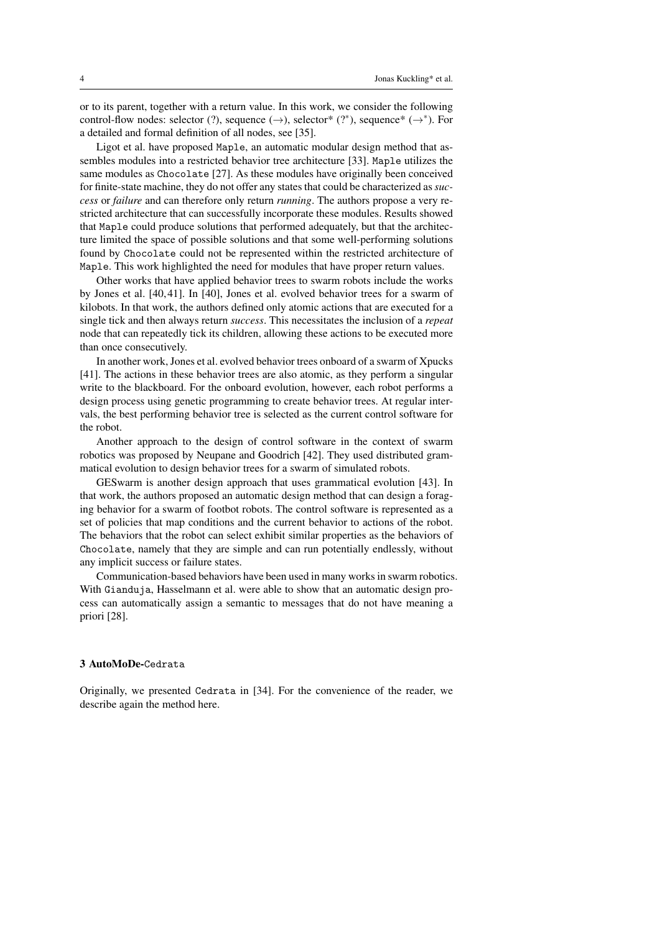or to its parent, together with a return value. In this work, we consider the following control-flow nodes: selector (?), sequence  $(\rightarrow)$ , selector\* (?\*), sequence\*  $(\rightarrow^*)$ . For a detailed and formal definition of all nodes, see [35].

Ligot et al. have proposed Maple, an automatic modular design method that assembles modules into a restricted behavior tree architecture [33]. Maple utilizes the same modules as Chocolate [27]. As these modules have originally been conceived for finite-state machine, they do not offer any states that could be characterized as*success* or *failure* and can therefore only return *running*. The authors propose a very restricted architecture that can successfully incorporate these modules. Results showed that Maple could produce solutions that performed adequately, but that the architecture limited the space of possible solutions and that some well-performing solutions found by Chocolate could not be represented within the restricted architecture of Maple. This work highlighted the need for modules that have proper return values.

Other works that have applied behavior trees to swarm robots include the works by Jones et al. [40, 41]. In [40], Jones et al. evolved behavior trees for a swarm of kilobots. In that work, the authors defined only atomic actions that are executed for a single tick and then always return *success*. This necessitates the inclusion of a *repeat* node that can repeatedly tick its children, allowing these actions to be executed more than once consecutively.

In another work, Jones et al. evolved behavior trees onboard of a swarm of Xpucks [41]. The actions in these behavior trees are also atomic, as they perform a singular write to the blackboard. For the onboard evolution, however, each robot performs a design process using genetic programming to create behavior trees. At regular intervals, the best performing behavior tree is selected as the current control software for the robot.

Another approach to the design of control software in the context of swarm robotics was proposed by Neupane and Goodrich [42]. They used distributed grammatical evolution to design behavior trees for a swarm of simulated robots.

GESwarm is another design approach that uses grammatical evolution [43]. In that work, the authors proposed an automatic design method that can design a foraging behavior for a swarm of footbot robots. The control software is represented as a set of policies that map conditions and the current behavior to actions of the robot. The behaviors that the robot can select exhibit similar properties as the behaviors of Chocolate, namely that they are simple and can run potentially endlessly, without any implicit success or failure states.

Communication-based behaviors have been used in many works in swarm robotics. With Gianduja, Hasselmann et al. were able to show that an automatic design process can automatically assign a semantic to messages that do not have meaning a priori [28].

## 3 AutoMoDe-Cedrata

Originally, we presented Cedrata in [34]. For the convenience of the reader, we describe again the method here.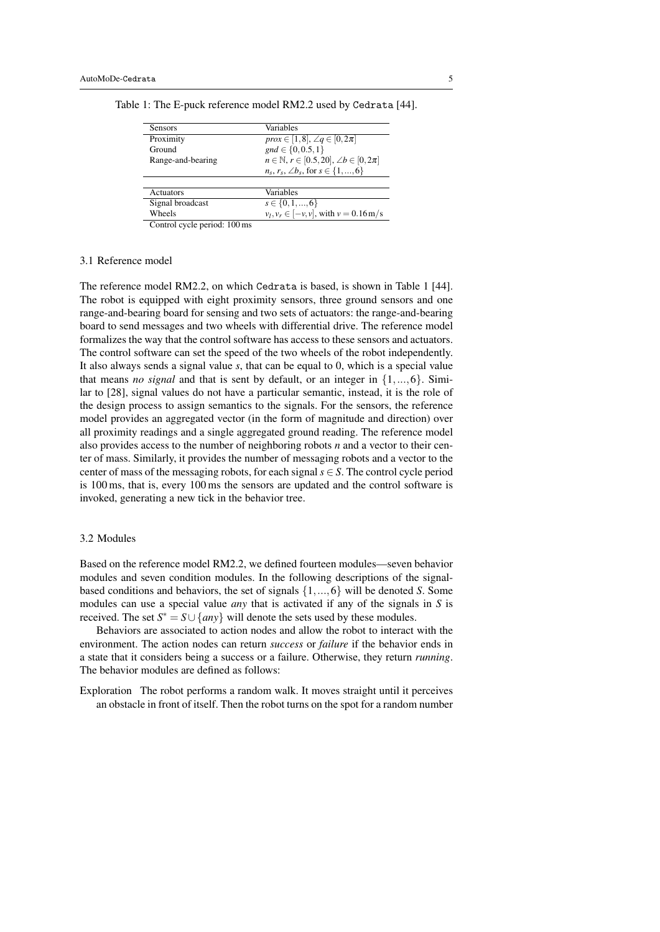| <b>Sensors</b>                                                         | Variables                                                   |
|------------------------------------------------------------------------|-------------------------------------------------------------|
| Proximity                                                              | <i>prox</i> $\in$ [1,8], $\angle q \in [0, 2\pi]$           |
| Ground                                                                 | $gnd \in \{0, 0.5, 1\}$                                     |
| Range-and-bearing                                                      | $n \in \mathbb{N}, r \in [0.5, 20], \angle b \in [0, 2\pi]$ |
|                                                                        | $n_s, r_s, \angle b_s$ , for $s \in \{1, , 6\}$             |
|                                                                        |                                                             |
| Actuators                                                              | Variables                                                   |
| Signal broadcast                                                       | $s \in \{0, 1, , 6\}$                                       |
| Wheels                                                                 | $v_l, v_r \in [-v, v]$ , with $v = 0.16$ m/s                |
| $\cdot$ $\cdot$ $\cdot$<br>$\mathbf{r}$<br>100<br>$\sim$ $\sim$ $\sim$ |                                                             |

Table 1: The E-puck reference model RM2.2 used by Cedrata [44].

Control cycle period: 100 ms

## 3.1 Reference model

The reference model RM2.2, on which Cedrata is based, is shown in Table 1 [44]. The robot is equipped with eight proximity sensors, three ground sensors and one range-and-bearing board for sensing and two sets of actuators: the range-and-bearing board to send messages and two wheels with differential drive. The reference model formalizes the way that the control software has access to these sensors and actuators. The control software can set the speed of the two wheels of the robot independently. It also always sends a signal value *s*, that can be equal to 0, which is a special value that means *no signal* and that is sent by default, or an integer in {1,...,6}. Similar to [28], signal values do not have a particular semantic, instead, it is the role of the design process to assign semantics to the signals. For the sensors, the reference model provides an aggregated vector (in the form of magnitude and direction) over all proximity readings and a single aggregated ground reading. The reference model also provides access to the number of neighboring robots *n* and a vector to their center of mass. Similarly, it provides the number of messaging robots and a vector to the center of mass of the messaging robots, for each signal  $s \in S$ . The control cycle period is 100 ms, that is, every 100 ms the sensors are updated and the control software is invoked, generating a new tick in the behavior tree.

## 3.2 Modules

Based on the reference model RM2.2, we defined fourteen modules—seven behavior modules and seven condition modules. In the following descriptions of the signalbased conditions and behaviors, the set of signals {1,...,6} will be denoted *S*. Some modules can use a special value *any* that is activated if any of the signals in *S* is received. The set  $S^* = S \cup \{any\}$  will denote the sets used by these modules.

Behaviors are associated to action nodes and allow the robot to interact with the environment. The action nodes can return *success* or *failure* if the behavior ends in a state that it considers being a success or a failure. Otherwise, they return *running*. The behavior modules are defined as follows:

Exploration The robot performs a random walk. It moves straight until it perceives an obstacle in front of itself. Then the robot turns on the spot for a random number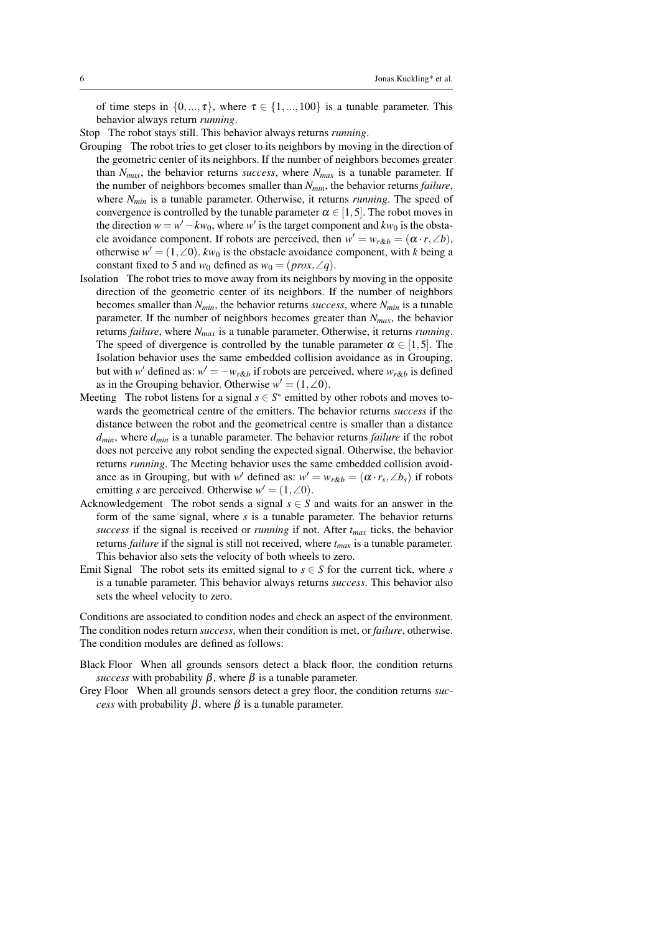of time steps in  $\{0, ..., \tau\}$ , where  $\tau \in \{1, ..., 100\}$  is a tunable parameter. This behavior always return *running*.

Stop The robot stays still. This behavior always returns *running*.

- Grouping The robot tries to get closer to its neighbors by moving in the direction of the geometric center of its neighbors. If the number of neighbors becomes greater than  $N_{max}$ , the behavior returns *success*, where  $N_{max}$  is a tunable parameter. If the number of neighbors becomes smaller than *Nmin*, the behavior returns *failure*, where *Nmin* is a tunable parameter. Otherwise, it returns *running*. The speed of convergence is controlled by the tunable parameter  $\alpha \in [1, 5]$ . The robot moves in the direction  $w = w' - kw_0$ , where  $w'$  is the target component and  $kw_0$  is the obstacle avoidance component. If robots are perceived, then  $w' = w_{r\&b} = (\alpha \cdot r, \angle b)$ , otherwise  $w' = (1, \angle 0)$ .  $kw_0$  is the obstacle avoidance component, with *k* being a constant fixed to 5 and  $w_0$  defined as  $w_0 = (prox, \angle q)$ .
- Isolation The robot tries to move away from its neighbors by moving in the opposite direction of the geometric center of its neighbors. If the number of neighbors becomes smaller than *Nmin*, the behavior returns *success*, where *Nmin* is a tunable parameter. If the number of neighbors becomes greater than *Nmax*, the behavior returns *failure*, where *Nmax* is a tunable parameter. Otherwise, it returns *running*. The speed of divergence is controlled by the tunable parameter  $\alpha \in [1, 5]$ . The Isolation behavior uses the same embedded collision avoidance as in Grouping, but with *w*<sup> $\prime$ </sup> defined as:  $w' = -w_{r\&b}$  if robots are perceived, where  $w_{r\&b}$  is defined as in the Grouping behavior. Otherwise  $w' = (1, \angle 0)$ .
- Meeting The robot listens for a signal  $s \in S^*$  emitted by other robots and moves towards the geometrical centre of the emitters. The behavior returns *success* if the distance between the robot and the geometrical centre is smaller than a distance *dmin*, where *dmin* is a tunable parameter. The behavior returns *failure* if the robot does not perceive any robot sending the expected signal. Otherwise, the behavior returns *running*. The Meeting behavior uses the same embedded collision avoidance as in Grouping, but with *w*<sup>*'*</sup> defined as:  $w' = w_{r\&b} = (\alpha \cdot r_s, \angle b_s)$  if robots emitting *s* are perceived. Otherwise  $w' = (1, \angle 0)$ .
- Acknowledgement The robot sends a signal  $s \in S$  and waits for an answer in the form of the same signal, where *s* is a tunable parameter. The behavior returns *success* if the signal is received or *running* if not. After *tmax* ticks, the behavior returns *failure* if the signal is still not received, where *tmax* is a tunable parameter. This behavior also sets the velocity of both wheels to zero.
- Emit Signal The robot sets its emitted signal to  $s \in S$  for the current tick, where *s* is a tunable parameter. This behavior always returns *success*. This behavior also sets the wheel velocity to zero.

Conditions are associated to condition nodes and check an aspect of the environment. The condition nodes return *success*, when their condition is met, or *failure*, otherwise. The condition modules are defined as follows:

- Black Floor When all grounds sensors detect a black floor, the condition returns *success* with probability  $\beta$ , where  $\beta$  is a tunable parameter.
- Grey Floor When all grounds sensors detect a grey floor, the condition returns *success* with probability  $\beta$ , where  $\beta$  is a tunable parameter.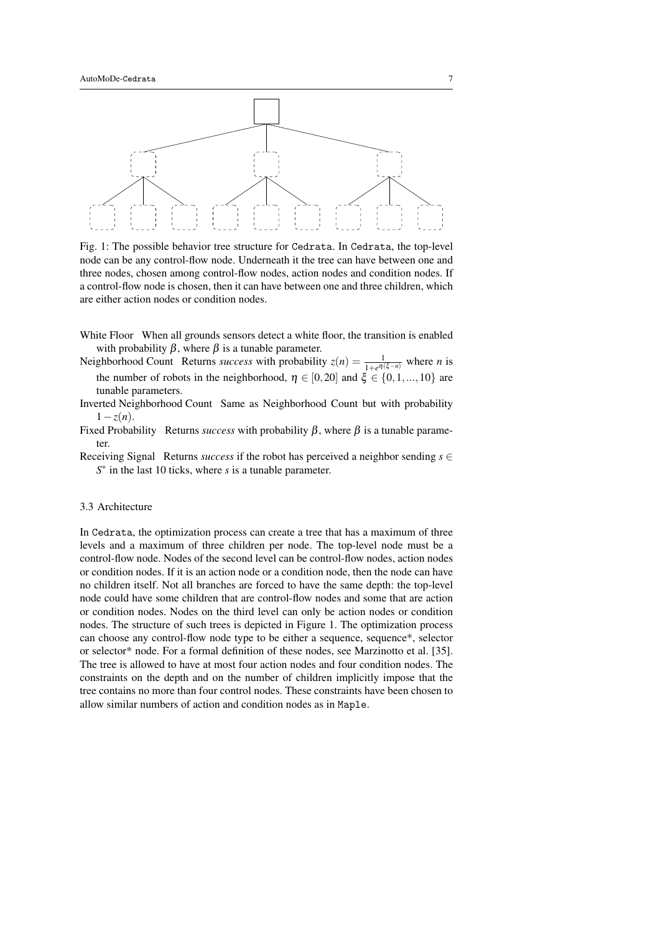

Fig. 1: The possible behavior tree structure for Cedrata. In Cedrata, the top-level node can be any control-flow node. Underneath it the tree can have between one and three nodes, chosen among control-flow nodes, action nodes and condition nodes. If a control-flow node is chosen, then it can have between one and three children, which are either action nodes or condition nodes.

- White Floor When all grounds sensors detect a white floor, the transition is enabled with probability  $β$ , where  $β$  is a tunable parameter.
- Neighborhood Count Returns *success* with probability  $z(n) = \frac{1}{1 + e^{\eta(\xi n)}}$  where *n* is the number of robots in the neighborhood,  $\eta \in [0,20]$  and  $\dot{\xi} \in \{0,1,...,10\}$  are tunable parameters.
- Inverted Neighborhood Count Same as Neighborhood Count but with probability  $1-z(n)$ .
- Fixed Probability Returns *success* with probability  $β$ , where  $β$  is a tunable parameter.
- Receiving Signal Returns *success* if the robot has perceived a neighbor sending *s* ∈ *S* ∗ in the last 10 ticks, where *s* is a tunable parameter.

## 3.3 Architecture

In Cedrata, the optimization process can create a tree that has a maximum of three levels and a maximum of three children per node. The top-level node must be a control-flow node. Nodes of the second level can be control-flow nodes, action nodes or condition nodes. If it is an action node or a condition node, then the node can have no children itself. Not all branches are forced to have the same depth: the top-level node could have some children that are control-flow nodes and some that are action or condition nodes. Nodes on the third level can only be action nodes or condition nodes. The structure of such trees is depicted in Figure 1. The optimization process can choose any control-flow node type to be either a sequence, sequence\*, selector or selector\* node. For a formal definition of these nodes, see Marzinotto et al. [35]. The tree is allowed to have at most four action nodes and four condition nodes. The constraints on the depth and on the number of children implicitly impose that the tree contains no more than four control nodes. These constraints have been chosen to allow similar numbers of action and condition nodes as in Maple.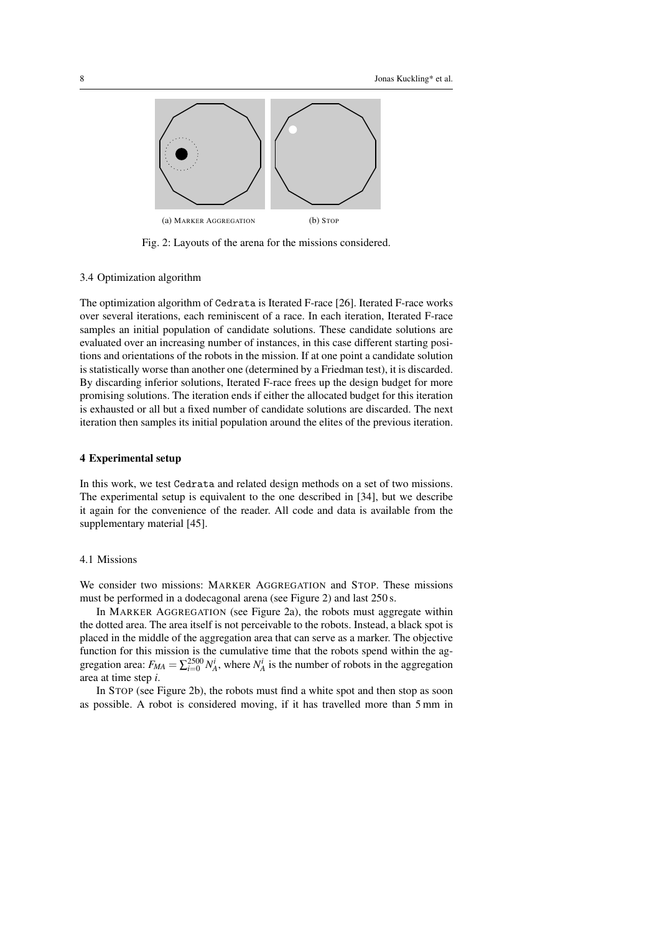

Fig. 2: Layouts of the arena for the missions considered.

## 3.4 Optimization algorithm

The optimization algorithm of Cedrata is Iterated F-race [26]. Iterated F-race works over several iterations, each reminiscent of a race. In each iteration, Iterated F-race samples an initial population of candidate solutions. These candidate solutions are evaluated over an increasing number of instances, in this case different starting positions and orientations of the robots in the mission. If at one point a candidate solution is statistically worse than another one (determined by a Friedman test), it is discarded. By discarding inferior solutions, Iterated F-race frees up the design budget for more promising solutions. The iteration ends if either the allocated budget for this iteration is exhausted or all but a fixed number of candidate solutions are discarded. The next iteration then samples its initial population around the elites of the previous iteration.

#### 4 Experimental setup

In this work, we test Cedrata and related design methods on a set of two missions. The experimental setup is equivalent to the one described in [34], but we describe it again for the convenience of the reader. All code and data is available from the supplementary material [45].

#### 4.1 Missions

We consider two missions: MARKER AGGREGATION and STOP. These missions must be performed in a dodecagonal arena (see Figure 2) and last 250 s.

In MARKER AGGREGATION (see Figure 2a), the robots must aggregate within the dotted area. The area itself is not perceivable to the robots. Instead, a black spot is placed in the middle of the aggregation area that can serve as a marker. The objective function for this mission is the cumulative time that the robots spend within the aggregation area:  $F_{MA} = \sum_{i=0}^{2500} N_A^i$ , where  $N_A^i$  is the number of robots in the aggregation area at time step *i*.

In STOP (see Figure 2b), the robots must find a white spot and then stop as soon as possible. A robot is considered moving, if it has travelled more than 5 mm in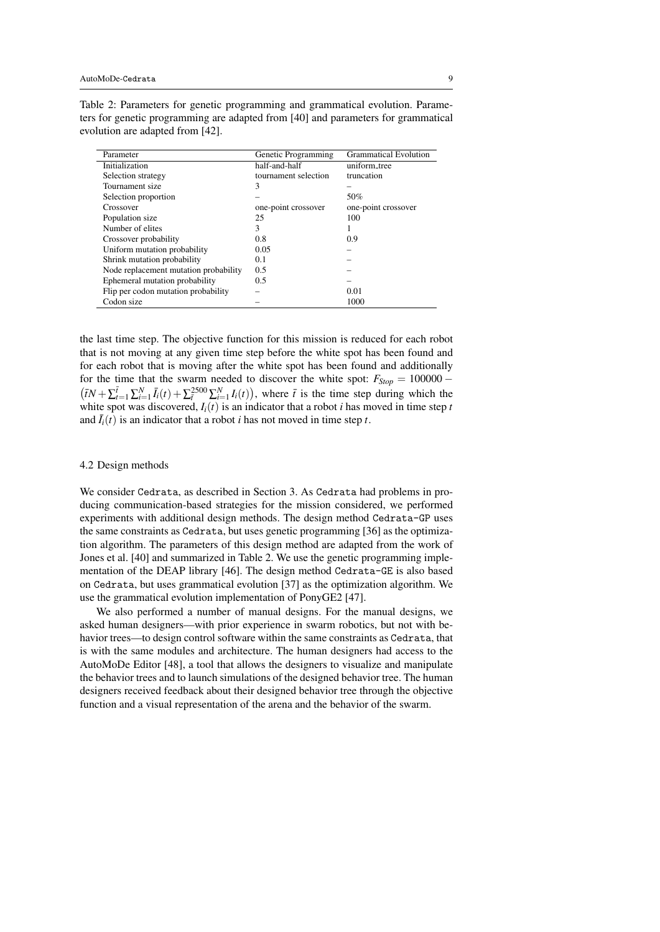| Parameter                             | Genetic Programming  | <b>Grammatical Evolution</b> |
|---------------------------------------|----------------------|------------------------------|
| Initialization                        | half-and-half        | uniform_tree                 |
|                                       |                      |                              |
| Selection strategy                    | tournament selection | truncation                   |
| Tournament size                       | 3                    |                              |
| Selection proportion                  |                      | 50%                          |
| Crossover                             | one-point crossover  | one-point crossover          |
| Population size                       | 25                   | 100                          |
| Number of elites                      | 3                    |                              |
| Crossover probability                 | 0.8                  | 0.9                          |
| Uniform mutation probability          | 0.05                 |                              |
| Shrink mutation probability           | 0.1                  |                              |
| Node replacement mutation probability | 0.5                  |                              |
| Ephemeral mutation probability        | 0.5                  |                              |
| Flip per codon mutation probability   |                      | 0.01                         |
| Codon size                            |                      | 1000                         |

Table 2: Parameters for genetic programming and grammatical evolution. Parameters for genetic programming are adapted from [40] and parameters for grammatical evolution are adapted from [42].

the last time step. The objective function for this mission is reduced for each robot that is not moving at any given time step before the white spot has been found and for each robot that is moving after the white spot has been found and additionally for the time that the swarm needed to discover the white spot:  $F_{Stop} = 100000 (\bar{t}N + \sum_{t=1}^{\bar{t}} \sum_{i=1}^N \bar{I}_i(t) + \sum_{\bar{t}}^{2500} \sum_{i=1}^N I_i(t)),$  where  $\bar{t}$  is the time step during which the white spot was discovered,  $I_i(t)$  is an indicator that a robot *i* has moved in time step *t* and  $\bar{I}_i(t)$  is an indicator that a robot *i* has not moved in time step *t*.

#### 4.2 Design methods

We consider Cedrata, as described in Section 3. As Cedrata had problems in producing communication-based strategies for the mission considered, we performed experiments with additional design methods. The design method Cedrata-GP uses the same constraints as Cedrata, but uses genetic programming [36] as the optimization algorithm. The parameters of this design method are adapted from the work of Jones et al. [40] and summarized in Table 2. We use the genetic programming implementation of the DEAP library [46]. The design method Cedrata-GE is also based on Cedrata, but uses grammatical evolution [37] as the optimization algorithm. We use the grammatical evolution implementation of PonyGE2 [47].

We also performed a number of manual designs. For the manual designs, we asked human designers—with prior experience in swarm robotics, but not with behavior trees—to design control software within the same constraints as Cedrata, that is with the same modules and architecture. The human designers had access to the AutoMoDe Editor [48], a tool that allows the designers to visualize and manipulate the behavior trees and to launch simulations of the designed behavior tree. The human designers received feedback about their designed behavior tree through the objective function and a visual representation of the arena and the behavior of the swarm.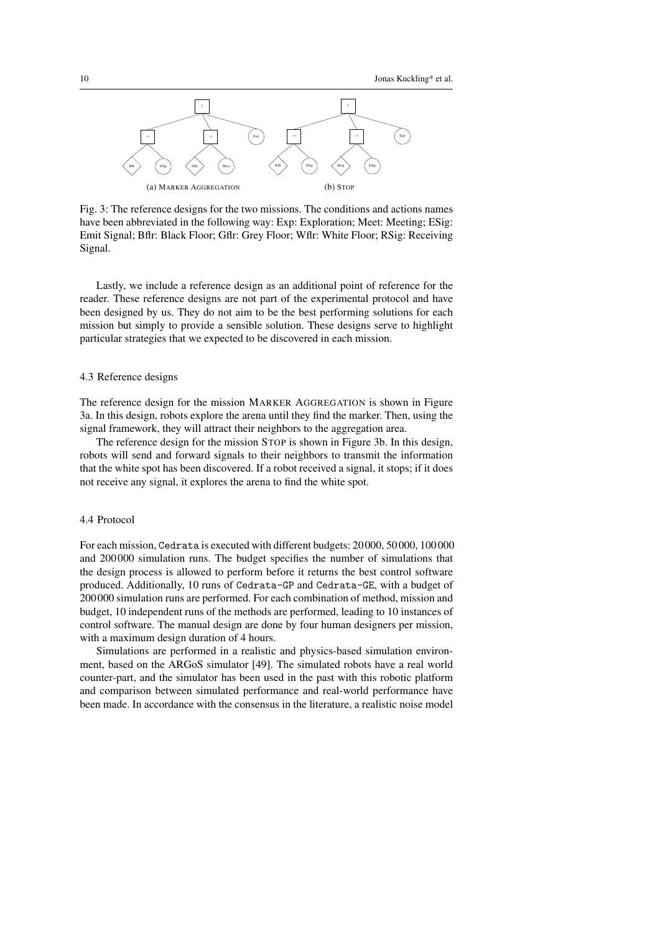

Fig. 3: The reference designs for the two missions. The conditions and actions names have been abbreviated in the following way: Exp: Exploration; Meet: Meeting; ESig: Emit Signal; Bflr: Black Floor; Gflr: Grey Floor; Wflr: White Floor; RSig: Receiving Signal.

Lastly, we include a reference design as an additional point of reference for the reader. These reference designs are not part of the experimental protocol and have been designed by us. They do not aim to be the best performing solutions for each mission but simply to provide a sensible solution. These designs serve to highlight particular strategies that we expected to be discovered in each mission.

#### 4.3 Reference designs

The reference design for the mission MARKER AGGREGATION is shown in Figure 3a. In this design, robots explore the arena until they find the marker. Then, using the signal framework, they will attract their neighbors to the aggregation area.

The reference design for the mission STOP is shown in Figure 3b. In this design, robots will send and forward signals to their neighbors to transmit the information that the white spot has been discovered. If a robot received a signal, it stops; if it does not receive any signal, it explores the arena to find the white spot.

#### 4.4 Protocol

For each mission, Cedrata is executed with different budgets: 20 000, 50 000, 100 000 and 200 000 simulation runs. The budget specifies the number of simulations that the design process is allowed to perform before it returns the best control software produced. Additionally, 10 runs of Cedrata-GP and Cedrata-GE, with a budget of 200 000 simulation runs are performed. For each combination of method, mission and budget, 10 independent runs of the methods are performed, leading to 10 instances of control software. The manual design are done by four human designers per mission, with a maximum design duration of 4 hours.

Simulations are performed in a realistic and physics-based simulation environment, based on the ARGoS simulator [49]. The simulated robots have a real world counter-part, and the simulator has been used in the past with this robotic platform and comparison between simulated performance and real-world performance have been made. In accordance with the consensus in the literature, a realistic noise model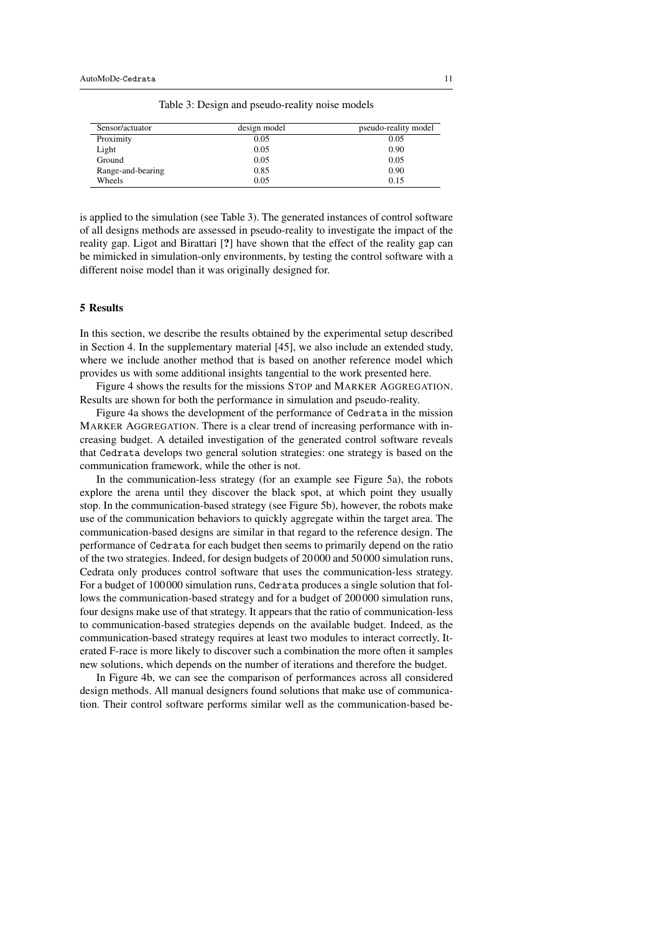Table 3: Design and pseudo-reality noise models

| Sensor/actuator   | design model | pseudo-reality model |
|-------------------|--------------|----------------------|
| Proximity         | 0.05         | 0.05                 |
| Light             | 0.05         | 0.90                 |
| Ground            | 0.05         | 0.05                 |
| Range-and-bearing | 0.85         | 0.90                 |
| Wheels            | 0.05         | 0.15                 |

is applied to the simulation (see Table 3). The generated instances of control software of all designs methods are assessed in pseudo-reality to investigate the impact of the reality gap. Ligot and Birattari [?] have shown that the effect of the reality gap can be mimicked in simulation-only environments, by testing the control software with a different noise model than it was originally designed for.

## 5 Results

In this section, we describe the results obtained by the experimental setup described in Section 4. In the supplementary material [45], we also include an extended study, where we include another method that is based on another reference model which provides us with some additional insights tangential to the work presented here.

Figure 4 shows the results for the missions STOP and MARKER AGGREGATION. Results are shown for both the performance in simulation and pseudo-reality.

Figure 4a shows the development of the performance of Cedrata in the mission MARKER AGGREGATION. There is a clear trend of increasing performance with increasing budget. A detailed investigation of the generated control software reveals that Cedrata develops two general solution strategies: one strategy is based on the communication framework, while the other is not.

In the communication-less strategy (for an example see Figure 5a), the robots explore the arena until they discover the black spot, at which point they usually stop. In the communication-based strategy (see Figure 5b), however, the robots make use of the communication behaviors to quickly aggregate within the target area. The communication-based designs are similar in that regard to the reference design. The performance of Cedrata for each budget then seems to primarily depend on the ratio of the two strategies. Indeed, for design budgets of 20 000 and 50 000 simulation runs, Cedrata only produces control software that uses the communication-less strategy. For a budget of 100 000 simulation runs, Cedrata produces a single solution that follows the communication-based strategy and for a budget of 200 000 simulation runs, four designs make use of that strategy. It appears that the ratio of communication-less to communication-based strategies depends on the available budget. Indeed, as the communication-based strategy requires at least two modules to interact correctly, Iterated F-race is more likely to discover such a combination the more often it samples new solutions, which depends on the number of iterations and therefore the budget.

In Figure 4b, we can see the comparison of performances across all considered design methods. All manual designers found solutions that make use of communication. Their control software performs similar well as the communication-based be-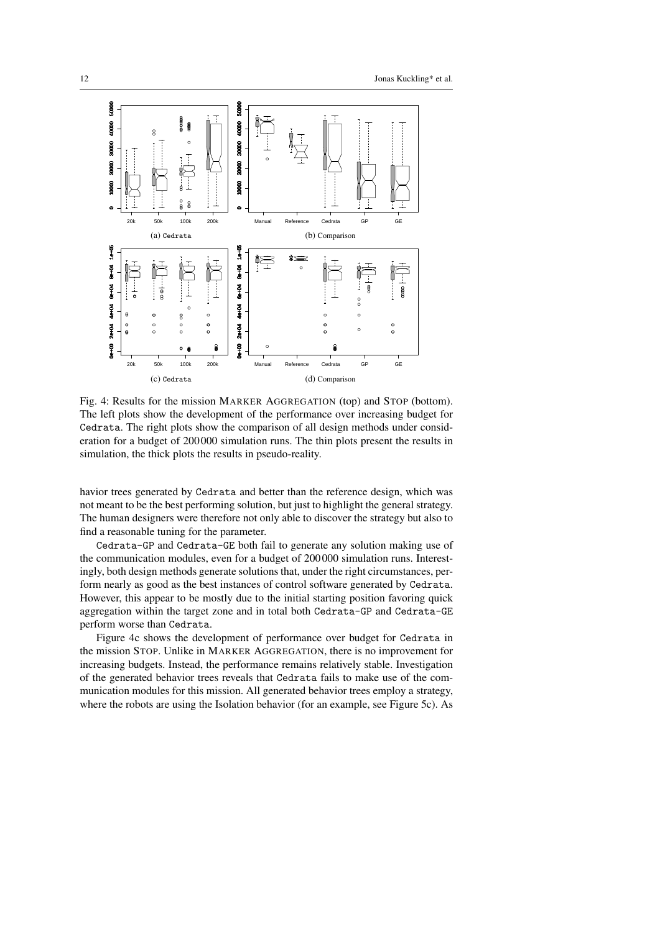

Fig. 4: Results for the mission MARKER AGGREGATION (top) and STOP (bottom). The left plots show the development of the performance over increasing budget for Cedrata. The right plots show the comparison of all design methods under consideration for a budget of 200 000 simulation runs. The thin plots present the results in simulation, the thick plots the results in pseudo-reality.

havior trees generated by Cedrata and better than the reference design, which was not meant to be the best performing solution, but just to highlight the general strategy. The human designers were therefore not only able to discover the strategy but also to find a reasonable tuning for the parameter.

Cedrata-GP and Cedrata-GE both fail to generate any solution making use of the communication modules, even for a budget of 200 000 simulation runs. Interestingly, both design methods generate solutions that, under the right circumstances, perform nearly as good as the best instances of control software generated by Cedrata. However, this appear to be mostly due to the initial starting position favoring quick aggregation within the target zone and in total both Cedrata-GP and Cedrata-GE perform worse than Cedrata.

Figure 4c shows the development of performance over budget for Cedrata in the mission STOP. Unlike in MARKER AGGREGATION, there is no improvement for increasing budgets. Instead, the performance remains relatively stable. Investigation of the generated behavior trees reveals that Cedrata fails to make use of the communication modules for this mission. All generated behavior trees employ a strategy, where the robots are using the Isolation behavior (for an example, see Figure 5c). As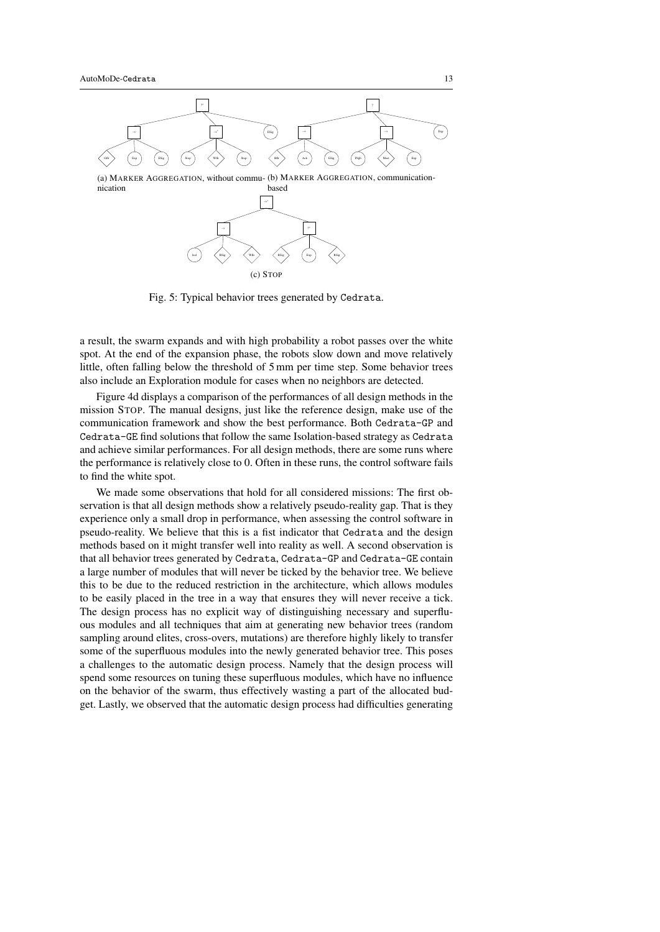

Fig. 5: Typical behavior trees generated by Cedrata.

a result, the swarm expands and with high probability a robot passes over the white spot. At the end of the expansion phase, the robots slow down and move relatively little, often falling below the threshold of 5 mm per time step. Some behavior trees also include an Exploration module for cases when no neighbors are detected.

Figure 4d displays a comparison of the performances of all design methods in the mission STOP. The manual designs, just like the reference design, make use of the communication framework and show the best performance. Both Cedrata-GP and Cedrata-GE find solutions that follow the same Isolation-based strategy as Cedrata and achieve similar performances. For all design methods, there are some runs where the performance is relatively close to 0. Often in these runs, the control software fails to find the white spot.

We made some observations that hold for all considered missions: The first observation is that all design methods show a relatively pseudo-reality gap. That is they experience only a small drop in performance, when assessing the control software in pseudo-reality. We believe that this is a fist indicator that Cedrata and the design methods based on it might transfer well into reality as well. A second observation is that all behavior trees generated by Cedrata, Cedrata-GP and Cedrata-GE contain a large number of modules that will never be ticked by the behavior tree. We believe this to be due to the reduced restriction in the architecture, which allows modules to be easily placed in the tree in a way that ensures they will never receive a tick. The design process has no explicit way of distinguishing necessary and superfluous modules and all techniques that aim at generating new behavior trees (random sampling around elites, cross-overs, mutations) are therefore highly likely to transfer some of the superfluous modules into the newly generated behavior tree. This poses a challenges to the automatic design process. Namely that the design process will spend some resources on tuning these superfluous modules, which have no influence on the behavior of the swarm, thus effectively wasting a part of the allocated budget. Lastly, we observed that the automatic design process had difficulties generating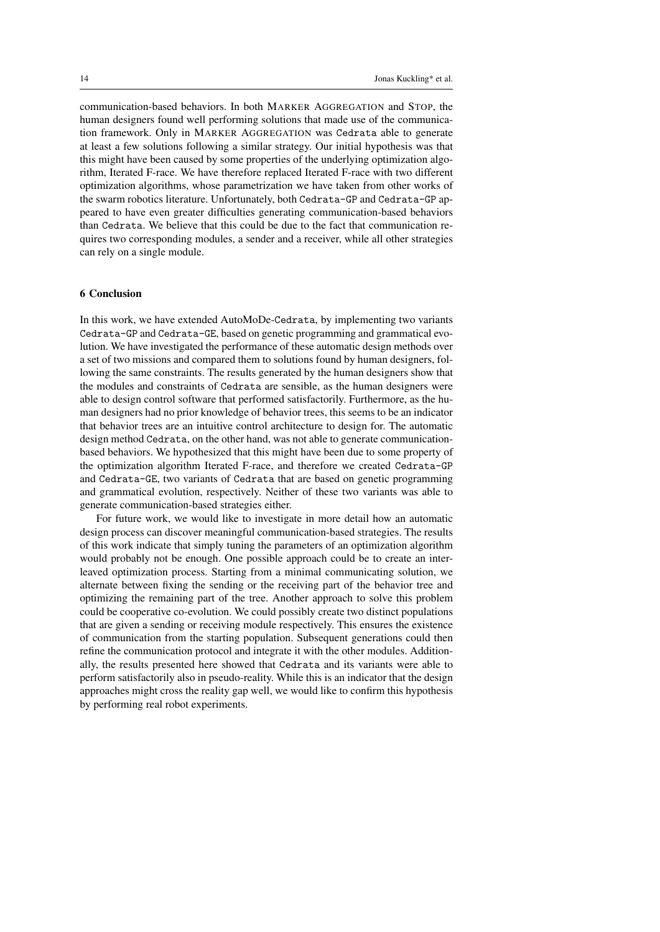communication-based behaviors. In both MARKER AGGREGATION and STOP, the human designers found well performing solutions that made use of the communication framework. Only in MARKER AGGREGATION was Cedrata able to generate at least a few solutions following a similar strategy. Our initial hypothesis was that this might have been caused by some properties of the underlying optimization algorithm, Iterated F-race. We have therefore replaced Iterated F-race with two different optimization algorithms, whose parametrization we have taken from other works of the swarm robotics literature. Unfortunately, both Cedrata-GP and Cedrata-GP appeared to have even greater difficulties generating communication-based behaviors than Cedrata. We believe that this could be due to the fact that communication requires two corresponding modules, a sender and a receiver, while all other strategies can rely on a single module.

## 6 Conclusion

In this work, we have extended AutoMoDe-Cedrata, by implementing two variants Cedrata-GP and Cedrata-GE, based on genetic programming and grammatical evolution. We have investigated the performance of these automatic design methods over a set of two missions and compared them to solutions found by human designers, following the same constraints. The results generated by the human designers show that the modules and constraints of Cedrata are sensible, as the human designers were able to design control software that performed satisfactorily. Furthermore, as the human designers had no prior knowledge of behavior trees, this seems to be an indicator that behavior trees are an intuitive control architecture to design for. The automatic design method Cedrata, on the other hand, was not able to generate communicationbased behaviors. We hypothesized that this might have been due to some property of the optimization algorithm Iterated F-race, and therefore we created Cedrata-GP and Cedrata-GE, two variants of Cedrata that are based on genetic programming and grammatical evolution, respectively. Neither of these two variants was able to generate communication-based strategies either.

For future work, we would like to investigate in more detail how an automatic design process can discover meaningful communication-based strategies. The results of this work indicate that simply tuning the parameters of an optimization algorithm would probably not be enough. One possible approach could be to create an interleaved optimization process. Starting from a minimal communicating solution, we alternate between fixing the sending or the receiving part of the behavior tree and optimizing the remaining part of the tree. Another approach to solve this problem could be cooperative co-evolution. We could possibly create two distinct populations that are given a sending or receiving module respectively. This ensures the existence of communication from the starting population. Subsequent generations could then refine the communication protocol and integrate it with the other modules. Additionally, the results presented here showed that Cedrata and its variants were able to perform satisfactorily also in pseudo-reality. While this is an indicator that the design approaches might cross the reality gap well, we would like to confirm this hypothesis by performing real robot experiments.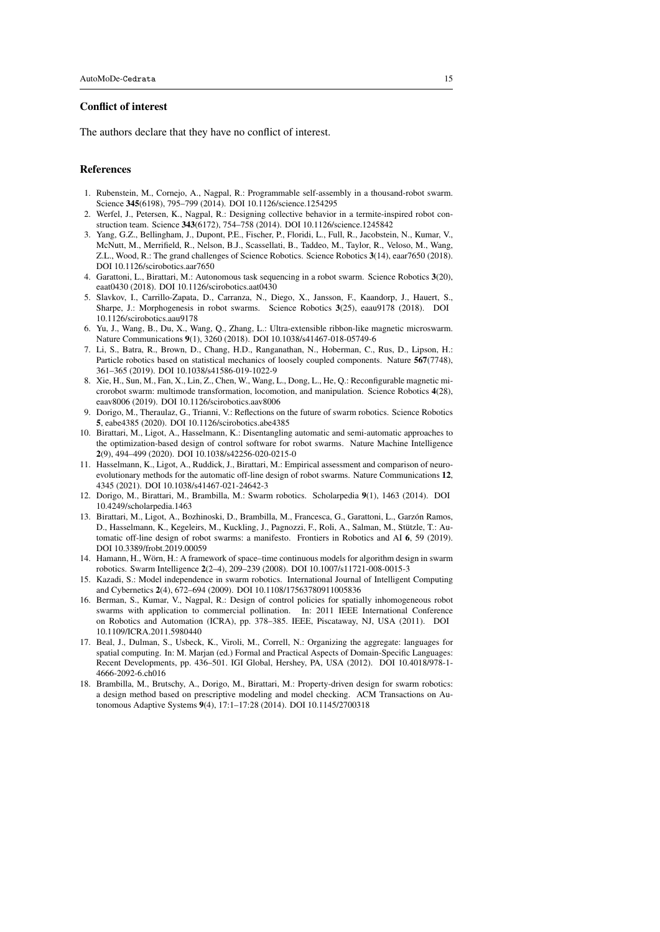## Conflict of interest

The authors declare that they have no conflict of interest.

#### References

- 1. Rubenstein, M., Cornejo, A., Nagpal, R.: Programmable self-assembly in a thousand-robot swarm. Science 345(6198), 795–799 (2014). DOI 10.1126/science.1254295
- 2. Werfel, J., Petersen, K., Nagpal, R.: Designing collective behavior in a termite-inspired robot construction team. Science 343(6172), 754–758 (2014). DOI 10.1126/science.1245842
- 3. Yang, G.Z., Bellingham, J., Dupont, P.E., Fischer, P., Floridi, L., Full, R., Jacobstein, N., Kumar, V., McNutt, M., Merrifield, R., Nelson, B.J., Scassellati, B., Taddeo, M., Taylor, R., Veloso, M., Wang, Z.L., Wood, R.: The grand challenges of Science Robotics. Science Robotics 3(14), eaar7650 (2018). DOI 10.1126/scirobotics.aar7650
- 4. Garattoni, L., Birattari, M.: Autonomous task sequencing in a robot swarm. Science Robotics 3(20), eaat0430 (2018). DOI 10.1126/scirobotics.aat0430
- 5. Slavkov, I., Carrillo-Zapata, D., Carranza, N., Diego, X., Jansson, F., Kaandorp, J., Hauert, S., Sharpe, J.: Morphogenesis in robot swarms. Science Robotics 3(25), eaau9178 (2018). DOI 10.1126/scirobotics.aau9178
- 6. Yu, J., Wang, B., Du, X., Wang, Q., Zhang, L.: Ultra-extensible ribbon-like magnetic microswarm. Nature Communications 9(1), 3260 (2018). DOI 10.1038/s41467-018-05749-6
- 7. Li, S., Batra, R., Brown, D., Chang, H.D., Ranganathan, N., Hoberman, C., Rus, D., Lipson, H.: Particle robotics based on statistical mechanics of loosely coupled components. Nature 567(7748), 361–365 (2019). DOI 10.1038/s41586-019-1022-9
- 8. Xie, H., Sun, M., Fan, X., Lin, Z., Chen, W., Wang, L., Dong, L., He, Q.: Reconfigurable magnetic microrobot swarm: multimode transformation, locomotion, and manipulation. Science Robotics 4(28), eaav8006 (2019). DOI 10.1126/scirobotics.aav8006
- 9. Dorigo, M., Theraulaz, G., Trianni, V.: Reflections on the future of swarm robotics. Science Robotics 5, eabe4385 (2020). DOI 10.1126/scirobotics.abe4385
- 10. Birattari, M., Ligot, A., Hasselmann, K.: Disentangling automatic and semi-automatic approaches to the optimization-based design of control software for robot swarms. Nature Machine Intelligence 2(9), 494–499 (2020). DOI 10.1038/s42256-020-0215-0
- 11. Hasselmann, K., Ligot, A., Ruddick, J., Birattari, M.: Empirical assessment and comparison of neuroevolutionary methods for the automatic off-line design of robot swarms. Nature Communications 12, 4345 (2021). DOI 10.1038/s41467-021-24642-3
- 12. Dorigo, M., Birattari, M., Brambilla, M.: Swarm robotics. Scholarpedia 9(1), 1463 (2014). DOI 10.4249/scholarpedia.1463
- 13. Birattari, M., Ligot, A., Bozhinoski, D., Brambilla, M., Francesca, G., Garattoni, L., Garzón Ramos, D., Hasselmann, K., Kegeleirs, M., Kuckling, J., Pagnozzi, F., Roli, A., Salman, M., Stützle, T.: Automatic off-line design of robot swarms: a manifesto. Frontiers in Robotics and AI 6, 59 (2019). DOI 10.3389/frobt.2019.00059
- 14. Hamann, H., Wörn, H.: A framework of space–time continuous models for algorithm design in swarm robotics. Swarm Intelligence 2(2–4), 209–239 (2008). DOI 10.1007/s11721-008-0015-3
- 15. Kazadi, S.: Model independence in swarm robotics. International Journal of Intelligent Computing and Cybernetics 2(4), 672–694 (2009). DOI 10.1108/17563780911005836
- 16. Berman, S., Kumar, V., Nagpal, R.: Design of control policies for spatially inhomogeneous robot swarms with application to commercial pollination. In: 2011 IEEE International Conference on Robotics and Automation (ICRA), pp. 378–385. IEEE, Piscataway, NJ, USA (2011). DOI 10.1109/ICRA.2011.5980440
- 17. Beal, J., Dulman, S., Usbeck, K., Viroli, M., Correll, N.: Organizing the aggregate: languages for spatial computing. In: M. Marjan (ed.) Formal and Practical Aspects of Domain-Specific Languages: Recent Developments, pp. 436–501. IGI Global, Hershey, PA, USA (2012). DOI 10.4018/978-1- 4666-2092-6.ch016
- 18. Brambilla, M., Brutschy, A., Dorigo, M., Birattari, M.: Property-driven design for swarm robotics: a design method based on prescriptive modeling and model checking. ACM Transactions on Autonomous Adaptive Systems 9(4), 17:1–17:28 (2014). DOI 10.1145/2700318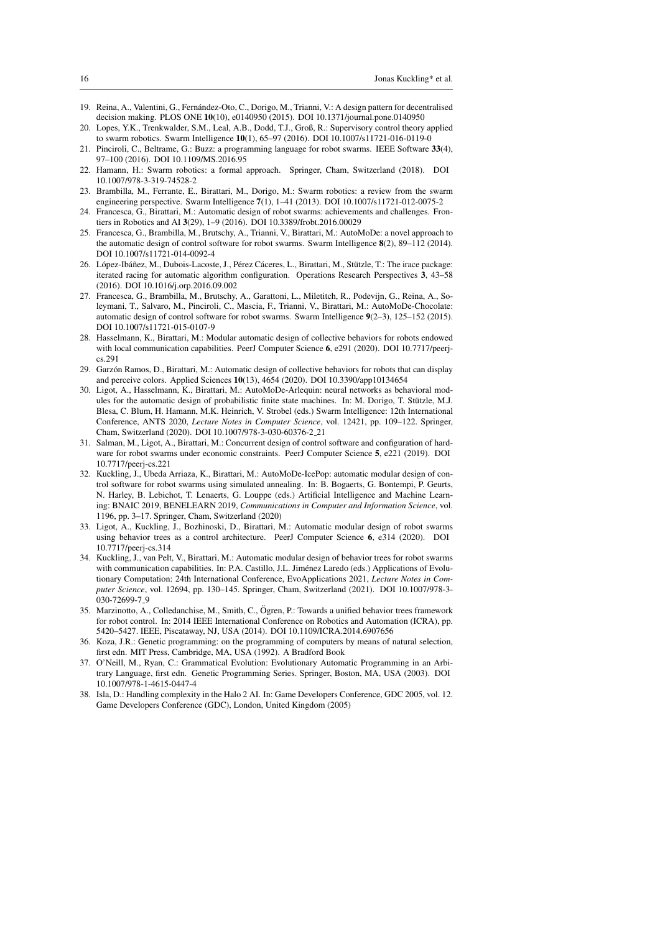- 19. Reina, A., Valentini, G., Fernandez-Oto, C., Dorigo, M., Trianni, V.: A design pattern for decentralised ´ decision making. PLOS ONE 10(10), e0140950 (2015). DOI 10.1371/journal.pone.0140950
- 20. Lopes, Y.K., Trenkwalder, S.M., Leal, A.B., Dodd, T.J., Groß, R.: Supervisory control theory applied to swarm robotics. Swarm Intelligence 10(1), 65–97 (2016). DOI 10.1007/s11721-016-0119-0
- 21. Pinciroli, C., Beltrame, G.: Buzz: a programming language for robot swarms. IEEE Software 33(4), 97–100 (2016). DOI 10.1109/MS.2016.95
- 22. Hamann, H.: Swarm robotics: a formal approach. Springer, Cham, Switzerland (2018). DOI 10.1007/978-3-319-74528-2
- 23. Brambilla, M., Ferrante, E., Birattari, M., Dorigo, M.: Swarm robotics: a review from the swarm engineering perspective. Swarm Intelligence 7(1), 1–41 (2013). DOI 10.1007/s11721-012-0075-2
- 24. Francesca, G., Birattari, M.: Automatic design of robot swarms: achievements and challenges. Frontiers in Robotics and AI 3(29), 1–9 (2016). DOI 10.3389/frobt.2016.00029
- 25. Francesca, G., Brambilla, M., Brutschy, A., Trianni, V., Birattari, M.: AutoMoDe: a novel approach to the automatic design of control software for robot swarms. Swarm Intelligence 8(2), 89–112 (2014). DOI 10.1007/s11721-014-0092-4
- 26. López-Ibáñez, M., Dubois-Lacoste, J., Pérez Cáceres, L., Birattari, M., Stützle, T.: The irace package: iterated racing for automatic algorithm configuration. Operations Research Perspectives 3, 43–58 (2016). DOI 10.1016/j.orp.2016.09.002
- 27. Francesca, G., Brambilla, M., Brutschy, A., Garattoni, L., Miletitch, R., Podevijn, G., Reina, A., Soleymani, T., Salvaro, M., Pinciroli, C., Mascia, F., Trianni, V., Birattari, M.: AutoMoDe-Chocolate: automatic design of control software for robot swarms. Swarm Intelligence 9(2–3), 125–152 (2015). DOI 10.1007/s11721-015-0107-9
- 28. Hasselmann, K., Birattari, M.: Modular automatic design of collective behaviors for robots endowed with local communication capabilities. PeerJ Computer Science 6, e291 (2020). DOI 10.7717/peerics.291
- 29. Garzón Ramos, D., Birattari, M.: Automatic design of collective behaviors for robots that can display and perceive colors. Applied Sciences 10(13), 4654 (2020). DOI 10.3390/app10134654
- 30. Ligot, A., Hasselmann, K., Birattari, M.: AutoMoDe-Arlequin: neural networks as behavioral modules for the automatic design of probabilistic finite state machines. In: M. Dorigo, T. Stützle, M.J. Blesa, C. Blum, H. Hamann, M.K. Heinrich, V. Strobel (eds.) Swarm Intelligence: 12th International Conference, ANTS 2020, *Lecture Notes in Computer Science*, vol. 12421, pp. 109–122. Springer, Cham, Switzerland (2020). DOI 10.1007/978-3-030-60376-2 21
- 31. Salman, M., Ligot, A., Birattari, M.: Concurrent design of control software and configuration of hardware for robot swarms under economic constraints. PeerJ Computer Science 5, e221 (2019). DOI 10.7717/peerj-cs.221
- 32. Kuckling, J., Ubeda Arriaza, K., Birattari, M.: AutoMoDe-IcePop: automatic modular design of control software for robot swarms using simulated annealing. In: B. Bogaerts, G. Bontempi, P. Geurts, N. Harley, B. Lebichot, T. Lenaerts, G. Louppe (eds.) Artificial Intelligence and Machine Learning: BNAIC 2019, BENELEARN 2019, *Communications in Computer and Information Science*, vol. 1196, pp. 3–17. Springer, Cham, Switzerland (2020)
- 33. Ligot, A., Kuckling, J., Bozhinoski, D., Birattari, M.: Automatic modular design of robot swarms using behavior trees as a control architecture. PeerJ Computer Science 6, e314 (2020). DOI 10.7717/peerj-cs.314
- 34. Kuckling, J., van Pelt, V., Birattari, M.: Automatic modular design of behavior trees for robot swarms with communication capabilities. In: P.A. Castillo, J.L. Jiménez Laredo (eds.) Applications of Evolutionary Computation: 24th International Conference, EvoApplications 2021, *Lecture Notes in Computer Science*, vol. 12694, pp. 130–145. Springer, Cham, Switzerland (2021). DOI 10.1007/978-3- 030-72699-7.9
- 35. Marzinotto, A., Colledanchise, M., Smith, C., Ogren, P.: Towards a unified behavior trees framework ¨ for robot control. In: 2014 IEEE International Conference on Robotics and Automation (ICRA), pp. 5420–5427. IEEE, Piscataway, NJ, USA (2014). DOI 10.1109/ICRA.2014.6907656
- 36. Koza, J.R.: Genetic programming: on the programming of computers by means of natural selection, first edn. MIT Press, Cambridge, MA, USA (1992). A Bradford Book
- 37. O'Neill, M., Ryan, C.: Grammatical Evolution: Evolutionary Automatic Programming in an Arbitrary Language, first edn. Genetic Programming Series. Springer, Boston, MA, USA (2003). DOI 10.1007/978-1-4615-0447-4
- 38. Isla, D.: Handling complexity in the Halo 2 AI. In: Game Developers Conference, GDC 2005, vol. 12. Game Developers Conference (GDC), London, United Kingdom (2005)